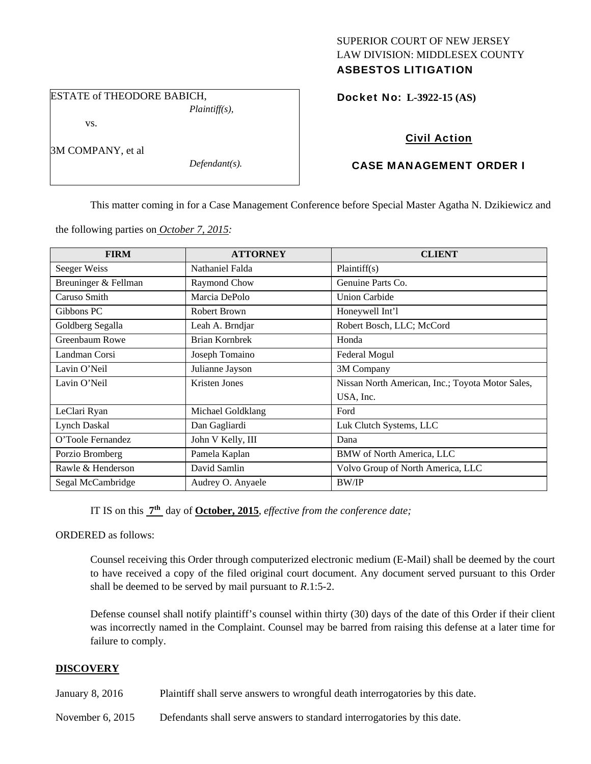# SUPERIOR COURT OF NEW JERSEY LAW DIVISION: MIDDLESEX COUNTY ASBESTOS LITIGATION

ESTATE of THEODORE BABICH, *Plaintiff(s),* 

vs.

3M COMPANY, et al

*Defendant(s).* 

Docket No: **L-3922-15 (AS)** 

# Civil Action

# CASE MANAGEMENT ORDER I

This matter coming in for a Case Management Conference before Special Master Agatha N. Dzikiewicz and

the following parties on *October 7, 2015:* 

| <b>FIRM</b>          | <b>ATTORNEY</b>       | <b>CLIENT</b>                                    |
|----------------------|-----------------------|--------------------------------------------------|
| Seeger Weiss         | Nathaniel Falda       | Plaintiff(s)                                     |
| Breuninger & Fellman | Raymond Chow          | Genuine Parts Co.                                |
| Caruso Smith         | Marcia DePolo         | <b>Union Carbide</b>                             |
| Gibbons PC           | Robert Brown          | Honeywell Int'l                                  |
| Goldberg Segalla     | Leah A. Brndjar       | Robert Bosch, LLC; McCord                        |
| Greenbaum Rowe       | <b>Brian Kornbrek</b> | Honda                                            |
| Landman Corsi        | Joseph Tomaino        | Federal Mogul                                    |
| Lavin O'Neil         | Julianne Jayson       | 3M Company                                       |
| Lavin O'Neil         | Kristen Jones         | Nissan North American, Inc.; Toyota Motor Sales, |
|                      |                       | USA, Inc.                                        |
| LeClari Ryan         | Michael Goldklang     | Ford                                             |
| <b>Lynch Daskal</b>  | Dan Gagliardi         | Luk Clutch Systems, LLC                          |
| O'Toole Fernandez    | John V Kelly, III     | Dana                                             |
| Porzio Bromberg      | Pamela Kaplan         | BMW of North America, LLC                        |
| Rawle & Henderson    | David Samlin          | Volvo Group of North America, LLC                |
| Segal McCambridge    | Audrey O. Anyaele     | <b>BW/IP</b>                                     |

IT IS on this **7th** day of **October, 2015**, *effective from the conference date;*

ORDERED as follows:

Counsel receiving this Order through computerized electronic medium (E-Mail) shall be deemed by the court to have received a copy of the filed original court document. Any document served pursuant to this Order shall be deemed to be served by mail pursuant to *R*.1:5-2.

Defense counsel shall notify plaintiff's counsel within thirty (30) days of the date of this Order if their client was incorrectly named in the Complaint. Counsel may be barred from raising this defense at a later time for failure to comply.

# **DISCOVERY**

January 8, 2016 Plaintiff shall serve answers to wrongful death interrogatories by this date.

November 6, 2015 Defendants shall serve answers to standard interrogatories by this date.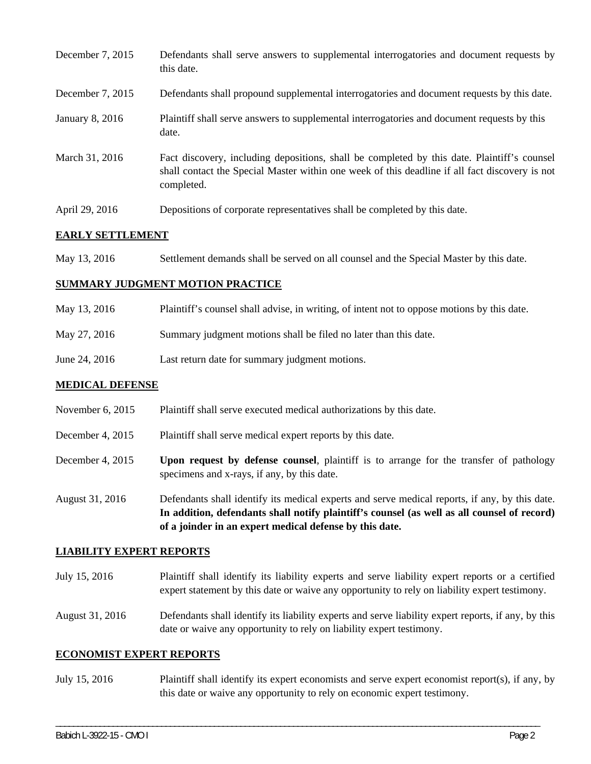| December 7, 2015 | Defendants shall serve answers to supplemental interrogatories and document requests by<br>this date.                                                                                                       |
|------------------|-------------------------------------------------------------------------------------------------------------------------------------------------------------------------------------------------------------|
| December 7, 2015 | Defendants shall propound supplemental interrogatories and document requests by this date.                                                                                                                  |
| January 8, 2016  | Plaintiff shall serve answers to supplemental interrogatories and document requests by this<br>date.                                                                                                        |
| March 31, 2016   | Fact discovery, including depositions, shall be completed by this date. Plaintiff's counsel<br>shall contact the Special Master within one week of this deadline if all fact discovery is not<br>completed. |
| April 29, 2016   | Depositions of corporate representatives shall be completed by this date.                                                                                                                                   |

## **EARLY SETTLEMENT**

May 13, 2016 Settlement demands shall be served on all counsel and the Special Master by this date.

#### **SUMMARY JUDGMENT MOTION PRACTICE**

- May 13, 2016 Plaintiff's counsel shall advise, in writing, of intent not to oppose motions by this date.
- May 27, 2016 Summary judgment motions shall be filed no later than this date.
- June 24, 2016 Last return date for summary judgment motions.

### **MEDICAL DEFENSE**

- November 6, 2015 Plaintiff shall serve executed medical authorizations by this date.
- December 4, 2015 Plaintiff shall serve medical expert reports by this date.
- December 4, 2015 **Upon request by defense counsel**, plaintiff is to arrange for the transfer of pathology specimens and x-rays, if any, by this date.
- August 31, 2016 Defendants shall identify its medical experts and serve medical reports, if any, by this date. **In addition, defendants shall notify plaintiff's counsel (as well as all counsel of record) of a joinder in an expert medical defense by this date.**

### **LIABILITY EXPERT REPORTS**

July 15, 2016 Plaintiff shall identify its liability experts and serve liability expert reports or a certified expert statement by this date or waive any opportunity to rely on liability expert testimony.

August 31, 2016 Defendants shall identify its liability experts and serve liability expert reports, if any, by this date or waive any opportunity to rely on liability expert testimony.

#### **ECONOMIST EXPERT REPORTS**

July 15, 2016 Plaintiff shall identify its expert economists and serve expert economist report(s), if any, by this date or waive any opportunity to rely on economic expert testimony.

\_\_\_\_\_\_\_\_\_\_\_\_\_\_\_\_\_\_\_\_\_\_\_\_\_\_\_\_\_\_\_\_\_\_\_\_\_\_\_\_\_\_\_\_\_\_\_\_\_\_\_\_\_\_\_\_\_\_\_\_\_\_\_\_\_\_\_\_\_\_\_\_\_\_\_\_\_\_\_\_\_\_\_\_\_\_\_\_\_\_\_\_\_\_\_\_\_\_\_\_\_\_\_\_\_\_\_\_\_\_